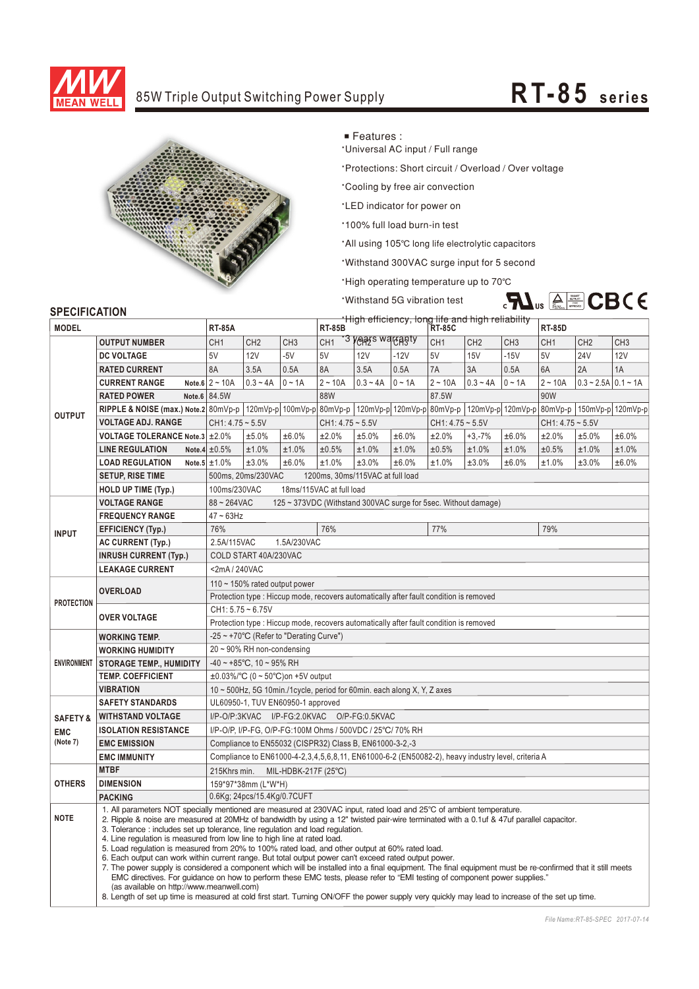

## 85W Triple Output Switching Power Supply **RT-85** series



■ Features :

**Universal AC input / Full range** 

\*Protections: Short circuit / Overload / Over voltage

\*Cooling by free air convection

'LED indicator for power on

\*100% full load burn-in test

**Withstand 5G vibration test** 

\*All using 105°C long life electrolytic capacitors

'Withstand 300VAC surge input for 5 second

**·High operating temperature up to 70℃** 



## **SPECIFICATION**

| <b>JELUIFIUAI IUN</b><br><b>MODEL</b> |                                                                                                                                                                                                                                                                                                                                                                                                                                                                                                                                                                                                                                                                                                                                                                                                                                                                                                                                                                                                                                                                                                                                      |                                                                                                   |                                                        | High efficiency, long life and high reliability<br><b>RT-85B</b> |                    |            |             |                    |                 |                 |                    |                       |                 |  |  |
|---------------------------------------|--------------------------------------------------------------------------------------------------------------------------------------------------------------------------------------------------------------------------------------------------------------------------------------------------------------------------------------------------------------------------------------------------------------------------------------------------------------------------------------------------------------------------------------------------------------------------------------------------------------------------------------------------------------------------------------------------------------------------------------------------------------------------------------------------------------------------------------------------------------------------------------------------------------------------------------------------------------------------------------------------------------------------------------------------------------------------------------------------------------------------------------|---------------------------------------------------------------------------------------------------|--------------------------------------------------------|------------------------------------------------------------------|--------------------|------------|-------------|--------------------|-----------------|-----------------|--------------------|-----------------------|-----------------|--|--|
|                                       |                                                                                                                                                                                                                                                                                                                                                                                                                                                                                                                                                                                                                                                                                                                                                                                                                                                                                                                                                                                                                                                                                                                                      | <b>RT-85A</b>                                                                                     |                                                        | "3 years warranty                                                |                    | RT-85C     |             |                    | <b>RT-85D</b>   |                 |                    |                       |                 |  |  |
| <b>OUTPUT</b>                         | <b>OUTPUT NUMBER</b>                                                                                                                                                                                                                                                                                                                                                                                                                                                                                                                                                                                                                                                                                                                                                                                                                                                                                                                                                                                                                                                                                                                 | CH <sub>1</sub>                                                                                   | CH <sub>2</sub>                                        | CH <sub>3</sub>                                                  | CH <sub>1</sub>    |            |             | CH <sub>1</sub>    | CH <sub>2</sub> | CH <sub>3</sub> | CH <sub>1</sub>    | CH <sub>2</sub>       | CH <sub>3</sub> |  |  |
|                                       | <b>DC VOLTAGE</b>                                                                                                                                                                                                                                                                                                                                                                                                                                                                                                                                                                                                                                                                                                                                                                                                                                                                                                                                                                                                                                                                                                                    | 5V                                                                                                | 12V                                                    | $-5V$                                                            | 5V                 | <b>12V</b> | $-12V$      | 5V                 | <b>15V</b>      | $-15V$          | 5V                 | <b>24V</b>            | 12V             |  |  |
|                                       | <b>RATED CURRENT</b>                                                                                                                                                                                                                                                                                                                                                                                                                                                                                                                                                                                                                                                                                                                                                                                                                                                                                                                                                                                                                                                                                                                 | 8A                                                                                                | 3.5A                                                   | 0.5A                                                             | 8A                 | 3.5A       | 0.5A        | 7A                 | 3A              | 0.5A            | 6A                 | 2A                    | 1A              |  |  |
|                                       | <b>CURRENT RANGE</b>                                                                                                                                                                                                                                                                                                                                                                                                                                                                                                                                                                                                                                                                                                                                                                                                                                                                                                                                                                                                                                                                                                                 | Note.6 $2 \sim 10A$                                                                               | $0.3 - 4A$                                             | $0 \sim 1A$                                                      | $2 - 10A$          | $0.3 - 4A$ | $0 \sim 1A$ | $2 - 10A$          | $0.3 - 4A$      | $0 \sim 1A$     | $2 - 10A$          | $0.3 - 2.5A$ 0.1 ~ 1A |                 |  |  |
|                                       | <b>RATED POWER</b>                                                                                                                                                                                                                                                                                                                                                                                                                                                                                                                                                                                                                                                                                                                                                                                                                                                                                                                                                                                                                                                                                                                   | Note.6 84.5W                                                                                      |                                                        |                                                                  | 88W                |            |             | 87.5W              |                 |                 | 90W                |                       |                 |  |  |
|                                       | RIPPLE & NOISE (max.) Note.2 80mVp-p   120mVp-p   100mVp-p   80mVp-p   120mVp-p   120mVp-p   80mVp-p   120mVp-p   120mVp-p   80mVp-p   80mVp-p   150mVp-p   120mVp-p   1                                                                                                                                                                                                                                                                                                                                                                                                                                                                                                                                                                                                                                                                                                                                                                                                                                                                                                                                                             |                                                                                                   |                                                        |                                                                  |                    |            |             |                    |                 |                 |                    |                       |                 |  |  |
|                                       | <b>VOLTAGE ADJ. RANGE</b>                                                                                                                                                                                                                                                                                                                                                                                                                                                                                                                                                                                                                                                                                                                                                                                                                                                                                                                                                                                                                                                                                                            | $CH1: 4.75 - 5.5V$                                                                                |                                                        |                                                                  | $CH1: 4.75 - 5.5V$ |            |             | $CH1: 4.75 - 5.5V$ |                 |                 | $CH1: 4.75 - 5.5V$ |                       |                 |  |  |
|                                       | VOLTAGE TOLERANCE Note.3 ± 2.0%                                                                                                                                                                                                                                                                                                                                                                                                                                                                                                                                                                                                                                                                                                                                                                                                                                                                                                                                                                                                                                                                                                      |                                                                                                   | ±5.0%                                                  | ±6.0%                                                            | ±2.0%              | ±5.0%      | ±6.0%       | ±2.0%              | $+3,-7%$        | ±6.0%           | ±2.0%              | ±5.0%                 | ±6.0%           |  |  |
|                                       | <b>LINE REGULATION</b>                                                                                                                                                                                                                                                                                                                                                                                                                                                                                                                                                                                                                                                                                                                                                                                                                                                                                                                                                                                                                                                                                                               | Note.4 $\pm 0.5\%$                                                                                | ±1.0%                                                  | ±1.0%                                                            | ±0.5%              | ±1.0%      | ±1.0%       | ±0.5%              | ±1.0%           | ±1.0%           | ±0.5%              | ±1.0%                 | ±1.0%           |  |  |
|                                       | <b>LOAD REGULATION</b>                                                                                                                                                                                                                                                                                                                                                                                                                                                                                                                                                                                                                                                                                                                                                                                                                                                                                                                                                                                                                                                                                                               | Note.5 $\pm 1.0\%$                                                                                | ±3.0%                                                  | ±6.0%                                                            | ±1.0%              | ±3.0%      | ±6.0%       | ±1.0%              | ±3.0%           | ±6.0%           | ±1.0%              | ±3.0%                 | ±6.0%           |  |  |
|                                       | <b>SETUP, RISE TIME</b>                                                                                                                                                                                                                                                                                                                                                                                                                                                                                                                                                                                                                                                                                                                                                                                                                                                                                                                                                                                                                                                                                                              |                                                                                                   | 500ms, 20ms/230VAC<br>1200ms, 30ms/115VAC at full load |                                                                  |                    |            |             |                    |                 |                 |                    |                       |                 |  |  |
|                                       | <b>HOLD UP TIME (Typ.)</b>                                                                                                                                                                                                                                                                                                                                                                                                                                                                                                                                                                                                                                                                                                                                                                                                                                                                                                                                                                                                                                                                                                           | 100ms/230VAC<br>18ms/115VAC at full load                                                          |                                                        |                                                                  |                    |            |             |                    |                 |                 |                    |                       |                 |  |  |
| <b>INPUT</b>                          | <b>VOLTAGE RANGE</b>                                                                                                                                                                                                                                                                                                                                                                                                                                                                                                                                                                                                                                                                                                                                                                                                                                                                                                                                                                                                                                                                                                                 | 88~264VAC<br>125 ~ 373VDC (Withstand 300VAC surge for 5sec. Without damage)                       |                                                        |                                                                  |                    |            |             |                    |                 |                 |                    |                       |                 |  |  |
|                                       | <b>FREQUENCY RANGE</b>                                                                                                                                                                                                                                                                                                                                                                                                                                                                                                                                                                                                                                                                                                                                                                                                                                                                                                                                                                                                                                                                                                               | $47 \sim 63$ Hz                                                                                   |                                                        |                                                                  |                    |            |             |                    |                 |                 |                    |                       |                 |  |  |
|                                       | <b>EFFICIENCY (Typ.)</b>                                                                                                                                                                                                                                                                                                                                                                                                                                                                                                                                                                                                                                                                                                                                                                                                                                                                                                                                                                                                                                                                                                             | 76%                                                                                               |                                                        |                                                                  | 76%                |            |             | 77%                |                 |                 | 79%                |                       |                 |  |  |
|                                       | <b>AC CURRENT (Typ.)</b>                                                                                                                                                                                                                                                                                                                                                                                                                                                                                                                                                                                                                                                                                                                                                                                                                                                                                                                                                                                                                                                                                                             | 2.5A/115VAC<br>1.5A/230VAC                                                                        |                                                        |                                                                  |                    |            |             |                    |                 |                 |                    |                       |                 |  |  |
|                                       | <b>INRUSH CURRENT (Typ.)</b>                                                                                                                                                                                                                                                                                                                                                                                                                                                                                                                                                                                                                                                                                                                                                                                                                                                                                                                                                                                                                                                                                                         |                                                                                                   | COLD START 40A/230VAC                                  |                                                                  |                    |            |             |                    |                 |                 |                    |                       |                 |  |  |
|                                       | <b>LEAKAGE CURRENT</b>                                                                                                                                                                                                                                                                                                                                                                                                                                                                                                                                                                                                                                                                                                                                                                                                                                                                                                                                                                                                                                                                                                               |                                                                                                   | <2mA/240VAC                                            |                                                                  |                    |            |             |                    |                 |                 |                    |                       |                 |  |  |
| <b>PROTECTION</b>                     | <b>OVERLOAD</b>                                                                                                                                                                                                                                                                                                                                                                                                                                                                                                                                                                                                                                                                                                                                                                                                                                                                                                                                                                                                                                                                                                                      | 110 $\sim$ 150% rated output power                                                                |                                                        |                                                                  |                    |            |             |                    |                 |                 |                    |                       |                 |  |  |
|                                       |                                                                                                                                                                                                                                                                                                                                                                                                                                                                                                                                                                                                                                                                                                                                                                                                                                                                                                                                                                                                                                                                                                                                      | Protection type : Hiccup mode, recovers automatically after fault condition is removed            |                                                        |                                                                  |                    |            |             |                    |                 |                 |                    |                       |                 |  |  |
|                                       | <b>OVER VOLTAGE</b>                                                                                                                                                                                                                                                                                                                                                                                                                                                                                                                                                                                                                                                                                                                                                                                                                                                                                                                                                                                                                                                                                                                  | $CH1: 5.75 - 6.75V$                                                                               |                                                        |                                                                  |                    |            |             |                    |                 |                 |                    |                       |                 |  |  |
|                                       |                                                                                                                                                                                                                                                                                                                                                                                                                                                                                                                                                                                                                                                                                                                                                                                                                                                                                                                                                                                                                                                                                                                                      | Protection type : Hiccup mode, recovers automatically after fault condition is removed            |                                                        |                                                                  |                    |            |             |                    |                 |                 |                    |                       |                 |  |  |
| <b>ENVIRONMENT</b>                    | <b>WORKING TEMP.</b>                                                                                                                                                                                                                                                                                                                                                                                                                                                                                                                                                                                                                                                                                                                                                                                                                                                                                                                                                                                                                                                                                                                 | -25 ~ +70°C (Refer to "Derating Curve")                                                           |                                                        |                                                                  |                    |            |             |                    |                 |                 |                    |                       |                 |  |  |
|                                       | <b>WORKING HUMIDITY</b>                                                                                                                                                                                                                                                                                                                                                                                                                                                                                                                                                                                                                                                                                                                                                                                                                                                                                                                                                                                                                                                                                                              |                                                                                                   | $20 \sim 90\%$ RH non-condensing                       |                                                                  |                    |            |             |                    |                 |                 |                    |                       |                 |  |  |
|                                       | <b>STORAGE TEMP., HUMIDITY</b>                                                                                                                                                                                                                                                                                                                                                                                                                                                                                                                                                                                                                                                                                                                                                                                                                                                                                                                                                                                                                                                                                                       | $-40 \sim +85^{\circ}$ C, 10 ~ 95% RH                                                             |                                                        |                                                                  |                    |            |             |                    |                 |                 |                    |                       |                 |  |  |
|                                       | <b>TEMP. COEFFICIENT</b>                                                                                                                                                                                                                                                                                                                                                                                                                                                                                                                                                                                                                                                                                                                                                                                                                                                                                                                                                                                                                                                                                                             | $\pm 0.03\%$ °C (0 ~ 50°C) on +5V output                                                          |                                                        |                                                                  |                    |            |             |                    |                 |                 |                    |                       |                 |  |  |
|                                       | <b>VIBRATION</b>                                                                                                                                                                                                                                                                                                                                                                                                                                                                                                                                                                                                                                                                                                                                                                                                                                                                                                                                                                                                                                                                                                                     | 10 ~ 500Hz, 5G 10min./1cycle, period for 60min. each along X, Y, Z axes                           |                                                        |                                                                  |                    |            |             |                    |                 |                 |                    |                       |                 |  |  |
|                                       | <b>SAFETY STANDARDS</b>                                                                                                                                                                                                                                                                                                                                                                                                                                                                                                                                                                                                                                                                                                                                                                                                                                                                                                                                                                                                                                                                                                              | UL60950-1, TUV EN60950-1 approved                                                                 |                                                        |                                                                  |                    |            |             |                    |                 |                 |                    |                       |                 |  |  |
| <b>SAFETY &amp;</b>                   | <b>WITHSTAND VOLTAGE</b>                                                                                                                                                                                                                                                                                                                                                                                                                                                                                                                                                                                                                                                                                                                                                                                                                                                                                                                                                                                                                                                                                                             | I/P-O/P:3KVAC I/P-FG:2.0KVAC O/P-FG:0.5KVAC                                                       |                                                        |                                                                  |                    |            |             |                    |                 |                 |                    |                       |                 |  |  |
| <b>EMC</b>                            | <b>ISOLATION RESISTANCE</b><br>I/P-O/P, I/P-FG, O/P-FG:100M Ohms / 500VDC / 25°C/ 70% RH                                                                                                                                                                                                                                                                                                                                                                                                                                                                                                                                                                                                                                                                                                                                                                                                                                                                                                                                                                                                                                             |                                                                                                   |                                                        |                                                                  |                    |            |             |                    |                 |                 |                    |                       |                 |  |  |
| (Note 7)                              | <b>EMC EMISSION</b>                                                                                                                                                                                                                                                                                                                                                                                                                                                                                                                                                                                                                                                                                                                                                                                                                                                                                                                                                                                                                                                                                                                  | Compliance to EN55032 (CISPR32) Class B, EN61000-3-2,-3                                           |                                                        |                                                                  |                    |            |             |                    |                 |                 |                    |                       |                 |  |  |
|                                       | <b>EMC IMMUNITY</b>                                                                                                                                                                                                                                                                                                                                                                                                                                                                                                                                                                                                                                                                                                                                                                                                                                                                                                                                                                                                                                                                                                                  | Compliance to EN61000-4-2,3,4,5,6,8,11, EN61000-6-2 (EN50082-2), heavy industry level, criteria A |                                                        |                                                                  |                    |            |             |                    |                 |                 |                    |                       |                 |  |  |
| <b>OTHERS</b>                         | <b>MTBF</b>                                                                                                                                                                                                                                                                                                                                                                                                                                                                                                                                                                                                                                                                                                                                                                                                                                                                                                                                                                                                                                                                                                                          | 215Khrs min.<br>MIL-HDBK-217F (25°C)                                                              |                                                        |                                                                  |                    |            |             |                    |                 |                 |                    |                       |                 |  |  |
|                                       | <b>DIMENSION</b>                                                                                                                                                                                                                                                                                                                                                                                                                                                                                                                                                                                                                                                                                                                                                                                                                                                                                                                                                                                                                                                                                                                     | 159*97*38mm (L*W*H)                                                                               |                                                        |                                                                  |                    |            |             |                    |                 |                 |                    |                       |                 |  |  |
|                                       | <b>PACKING</b>                                                                                                                                                                                                                                                                                                                                                                                                                                                                                                                                                                                                                                                                                                                                                                                                                                                                                                                                                                                                                                                                                                                       | 0.6Kg; 24pcs/15.4Kg/0.7CUFT                                                                       |                                                        |                                                                  |                    |            |             |                    |                 |                 |                    |                       |                 |  |  |
| <b>NOTE</b>                           | 1. All parameters NOT specially mentioned are measured at 230VAC input, rated load and 25°C of ambient temperature.<br>2. Ripple & noise are measured at 20MHz of bandwidth by using a 12" twisted pair-wire terminated with a 0.1uf & 47uf parallel capacitor.<br>3. Tolerance: includes set up tolerance, line regulation and load regulation.<br>4. Line regulation is measured from low line to high line at rated load.<br>5. Load requlation is measured from 20% to 100% rated load, and other output at 60% rated load.<br>6. Each output can work within current range. But total output power can't exceed rated output power.<br>7. The power supply is considered a component which will be installed into a final equipment. The final equipment must be re-confirmed that it still meets<br>EMC directives. For quidance on how to perform these EMC tests, please refer to "EMI testing of component power supplies."<br>(as available on http://www.meanwell.com)<br>8. Length of set up time is measured at cold first start. Turning ON/OFF the power supply very quickly may lead to increase of the set up time. |                                                                                                   |                                                        |                                                                  |                    |            |             |                    |                 |                 |                    |                       |                 |  |  |